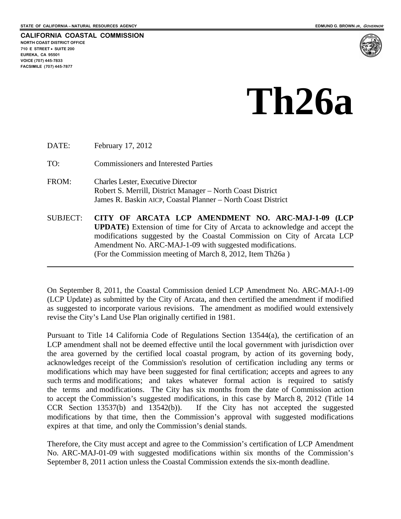

# **Th26a**

DATE: February 17, 2012 TO: Commissioners and Interested Parties FROM: Charles Lester, Executive Director Robert S. Merrill, District Manager – North Coast District James R. Baskin AICP, Coastal Planner – North Coast District SUBJECT: **CITY OF ARCATA LCP AMENDMENT NO. ARC-MAJ-1-09 (LCP UPDATE)** Extension of time for City of Arcata to acknowledge and accept the modifications suggested by the Coastal Commission on City of Arcata LCP Amendment No. ARC-MAJ-1-09 with suggested modifications. (For the Commission meeting of March 8, 2012, Item Th26a )

On September 8, 2011, the Coastal Commission denied LCP Amendment No. ARC-MAJ-1-09 (LCP Update) as submitted by the City of Arcata, and then certified the amendment if modified as suggested to incorporate various revisions. The amendment as modified would extensively revise the City's Land Use Plan originally certified in 1981.

Pursuant to Title 14 California Code of Regulations Section 13544(a), the certification of an LCP amendment shall not be deemed effective until the local government with jurisdiction over the area governed by the certified local coastal program, by action of its governing body, acknowledges receipt of the Commission's resolution of certification including any terms or modifications which may have been suggested for final certification; accepts and agrees to any such terms and modifications; and takes whatever formal action is required to satisfy the terms and modifications. The City has six months from the date of Commission action to accept the Commission's suggested modifications, in this case by March 8, 2012 (Title 14 CCR Section 13537(b) and 13542(b)). If the City has not accepted the suggested modifications by that time, then the Commission's approval with suggested modifications expires at that time, and only the Commission's denial stands.

Therefore, the City must accept and agree to the Commission's certification of LCP Amendment No. ARC-MAJ-01-09 with suggested modifications within six months of the Commission's September 8, 2011 action unless the Coastal Commission extends the six-month deadline.